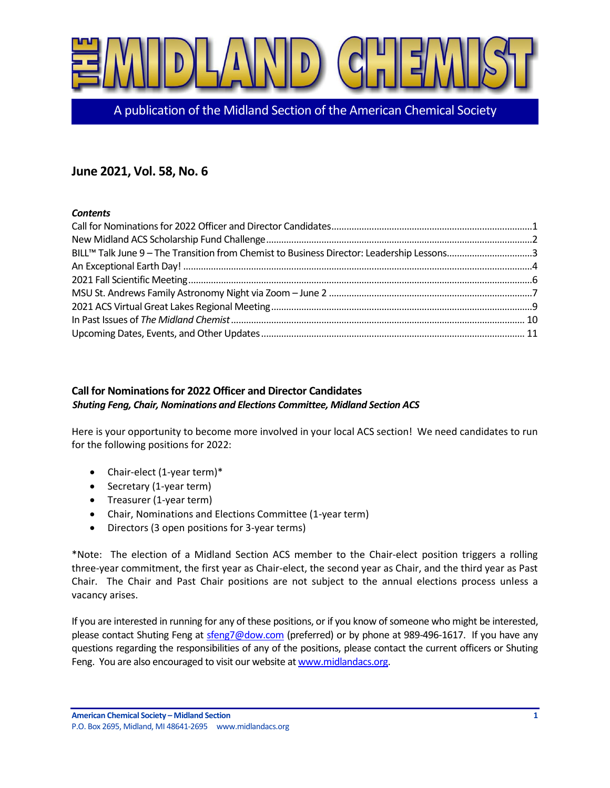

A publication of the Midland Section of the American Chemical Society

# **June 2021, Vol. 58, No. 6**

### *Contents*

| BILL™ Talk June 9 - The Transition from Chemist to Business Director: Leadership Lessons3 |  |
|-------------------------------------------------------------------------------------------|--|
|                                                                                           |  |
|                                                                                           |  |
|                                                                                           |  |
|                                                                                           |  |
|                                                                                           |  |
|                                                                                           |  |

# <span id="page-0-0"></span>**Call for Nominations for 2022 Officer and Director Candidates** *Shuting Feng, Chair, Nominations and Elections Committee, Midland Section ACS*

Here is your opportunity to become more involved in your local ACS section! We need candidates to run for the following positions for 2022:

- Chair-elect (1-year term)\*
- Secretary (1-year term)
- Treasurer (1-year term)
- Chair, Nominations and Elections Committee (1-year term)
- Directors (3 open positions for 3-year terms)

\*Note: The election of a Midland Section ACS member to the Chair-elect position triggers a rolling three-year commitment, the first year as Chair-elect, the second year as Chair, and the third year as Past Chair. The Chair and Past Chair positions are not subject to the annual elections process unless a vacancy arises.

If you are interested in running for any of these positions, or if you know of someone who might be interested, please contact Shuting Feng at [sfeng7@dow.com](mailto:sfeng7@dow.com) (preferred) or by phone at 989-496-1617. If you have any questions regarding the responsibilities of any of the positions, please contact the current officers or Shuting Feng. You are also encouraged to visit our website a[t www.midlandacs.org.](http://www.midlandacs.org/)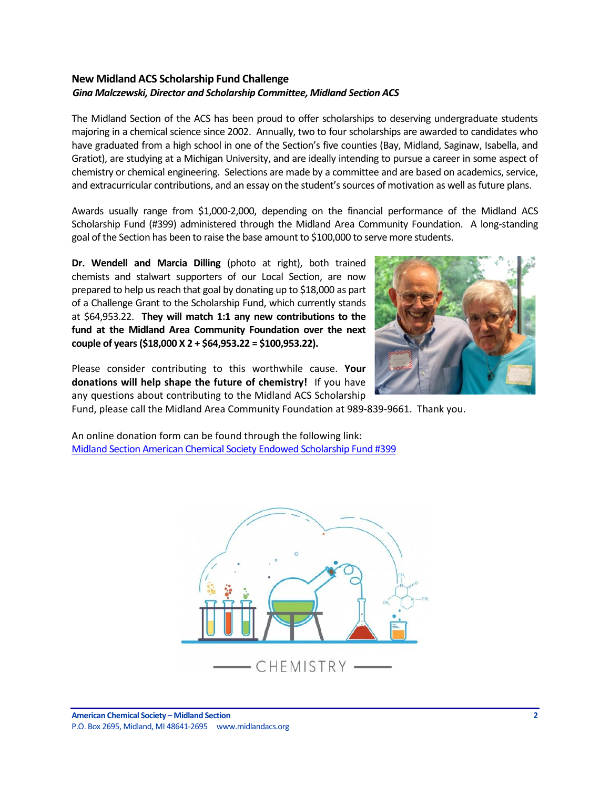### <span id="page-1-0"></span>**New Midland ACS Scholarship Fund Challenge** *Gina Malczewski, Director and Scholarship Committee, Midland Section ACS*

The Midland Section of the ACS has been proud to offer scholarships to deserving undergraduate students majoring in a chemical science since 2002. Annually, two to four scholarships are awarded to candidates who have graduated from a high school in one of the Section's five counties (Bay, Midland, Saginaw, Isabella, and Gratiot), are studying at a Michigan University, and are ideally intending to pursue a career in some aspect of chemistry or chemical engineering. Selections are made by a committee and are based on academics, service, and extracurricular contributions, and an essay on the student's sources of motivation as well as future plans.

Awards usually range from \$1,000-2,000, depending on the financial performance of the Midland ACS Scholarship Fund (#399) administered through the Midland Area Community Foundation. A long-standing goal of the Section has been to raise the base amount to \$100,000 to serve more students.

**Dr. Wendell and Marcia Dilling** (photo at right), both trained chemists and stalwart supporters of our Local Section, are now prepared to help us reach that goal by donating up to \$18,000 as part of a Challenge Grant to the Scholarship Fund, which currently stands at \$64,953.22. **They will match 1:1 any new contributions to the fund at the Midland Area Community Foundation over the next couple of years (\$18,000 X 2 + \$64,953.22 = \$100,953.22).**



Please consider contributing to this worthwhile cause. **Your donations will help shape the future of chemistry!** If you have any questions about contributing to the Midland ACS Scholarship

Fund, please call the Midland Area Community Foundation at 989-839-9661. Thank you.

An online donation form can be found through the following link: [Midland Section American Chemical Society Endowed Scholarship Fund #399](https://www.midlandfoundation.org/fund/midland-section-american-chemical-society-endowed-scholarship-fund-399/)

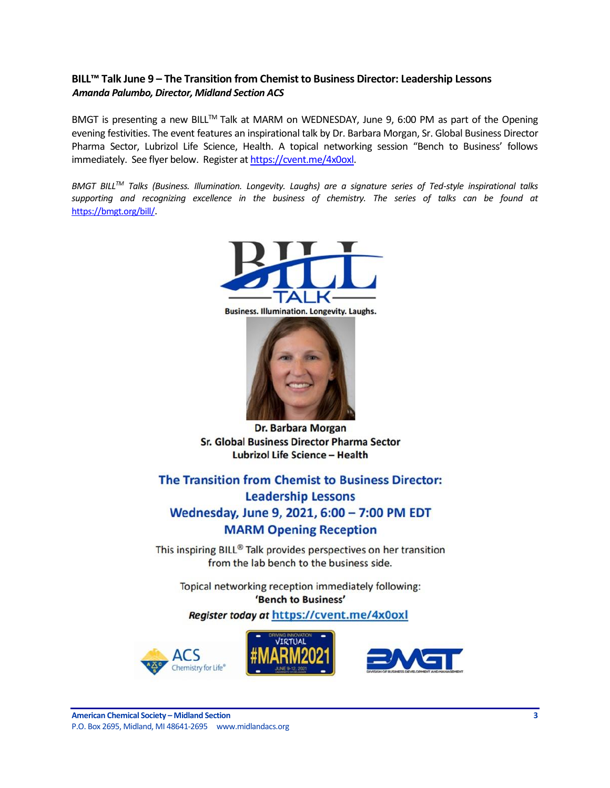### <span id="page-2-0"></span>**BILL™ Talk June 9 – The Transition from Chemist to Business Director: Leadership Lessons** *Amanda Palumbo, Director, Midland Section ACS*

BMGT is presenting a new BILL™ Talk at MARM on WEDNESDAY, June 9, 6:00 PM as part of the Opening evening festivities. The event features an inspirational talk by Dr. Barbara Morgan, Sr. Global Business Director Pharma Sector, Lubrizol Life Science, Health. A topical networking session "Bench to Business' follows immediately. See flyer below. Register a[t https://cvent.me/4x0oxl.](https://cvent.me/4x0oxl)

*BMGT BILLTM Talks (Business. Illumination. Longevity. Laughs) are a signature series of Ted-style inspirational talks supporting and recognizing excellence in the business of chemistry. The series of talks can be found at*  [https://bmgt.org/bill/](https://nam04.safelinks.protection.outlook.com/?url=https%3A%2F%2Furldefense.proofpoint.com%2Fv2%2Furl%3Fu%3Dhttps-3A__bmgt.org_bill_%26d%3DDwMFAg%26c%3DzRqMG_fghhK--2M6Q5UUdA%26r%3DI2Pkhabs1xvlNxWyvb9n3AofbtAc2gdMJwouixQQIP8%26m%3DS-Fj73uCQWYA0W8tymvhscIf0FqU9o3Q8miZSiAWdGk%26s%3Dtd6yRtJKSrQjsuBoP_mV6eWTcBCSYAEhBf7kao2jPfQ%26e%3D&data=04%7C01%7Camanda.palumbo%40dow.com%7C5ed18c1e910a4a5526d708d91c635588%7Cc3e32f53cb7f4809968d1cc4ccc785fe%7C0%7C0%7C637572035235497738%7CUnknown%7CTWFpbGZsb3d8eyJWIjoiMC4wLjAwMDAiLCJQIjoiV2luMzIiLCJBTiI6Ik1haWwiLCJXVCI6Mn0%3D%7C1000&sdata=nATAnjio0OIaqTDHts2G37Ee2EM2OLTK%2BLMChwtZreM%3D&reserved=0).



**Business. Illumination. Longevity. Laughs.** 



Dr. Barbara Morgan Sr. Global Business Director Pharma Sector **Lubrizol Life Science - Health** 

The Transition from Chemist to Business Director: **Leadership Lessons** Wednesday, June 9, 2021, 6:00 - 7:00 PM EDT **MARM Opening Reception** 

This inspiring BILL® Talk provides perspectives on her transition from the lab bench to the business side.

Topical networking reception immediately following: 'Bench to Business'

Register today at https://cvent.me/4x0oxl

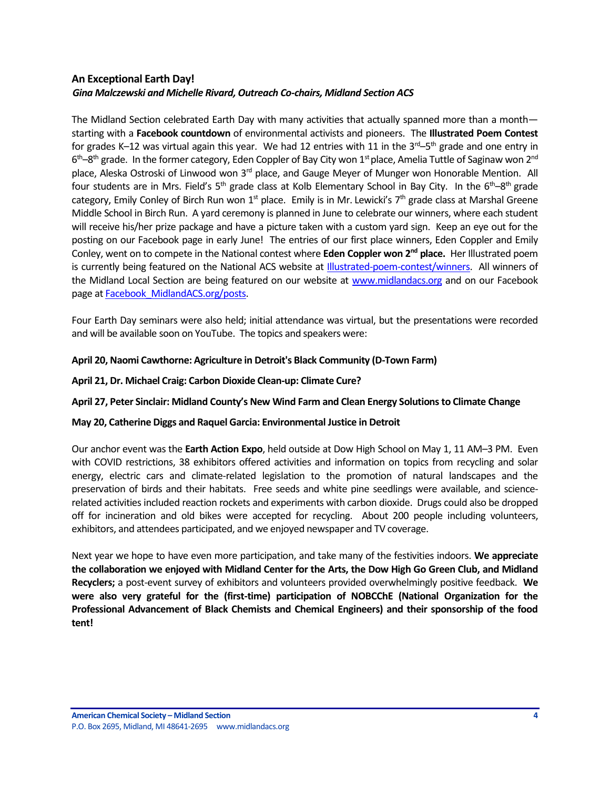# <span id="page-3-0"></span>**An Exceptional Earth Day!** *Gina Malczewski and Michelle Rivard, Outreach Co-chairs, Midland Section ACS*

The Midland Section celebrated Earth Day with many activities that actually spanned more than a month starting with a **Facebook countdown** of environmental activists and pioneers. The **Illustrated Poem Contest** for grades K–12 was virtual again this year. We had 12 entries with 11 in the 3<sup>rd</sup>–5<sup>th</sup> grade and one entry in 6<sup>th</sup>–8<sup>th</sup> grade. In the former category, Eden Coppler of Bay City won 1<sup>st</sup> place, Amelia Tuttle of Saginaw won 2<sup>nd</sup> place, Aleska Ostroski of Linwood won 3<sup>rd</sup> place, and Gauge Meyer of Munger won Honorable Mention. All four students are in Mrs. Field's 5<sup>th</sup> grade class at Kolb Elementary School in Bay City. In the 6<sup>th</sup>–8<sup>th</sup> grade category, Emily Conley of Birch Run won  $1<sup>st</sup>$  place. Emily is in Mr. Lewicki's  $7<sup>th</sup>$  grade class at Marshal Greene Middle School in Birch Run. A yard ceremony is planned in June to celebrate our winners, where each student will receive his/her prize package and have a picture taken with a custom yard sign. Keep an eye out for the posting on our Facebook page in early June! The entries of our first place winners, Eden Coppler and Emily Conley, went on to compete in the National contest where **Eden Coppler won 2nd place.** Her Illustrated poem is currently being featured on the National ACS website at [Illustrated-poem-contest/winners.](https://www.acs.org/content/acs/en/education/outreach/ccew/plan-an-event/illustrated-poem-contest/winners.html) All winners of the Midland Local Section are being featured on our website at [www.midlandacs.org](http://www.midlandacs.org/) and on our Facebook page at Facebook MidlandACS.org/posts.

Four Earth Day seminars were also held; initial attendance was virtual, but the presentations were recorded and will be available soon on YouTube. The topics and speakers were:

### **April 20, Naomi Cawthorne: Agriculture in Detroit's Black Community (D-Town Farm)**

### **April 21, Dr. Michael Craig: Carbon Dioxide Clean-up: Climate Cure?**

### **April 27, Peter Sinclair: Midland County's New Wind Farm and Clean Energy Solutions to Climate Change**

### **May 20, Catherine Diggs and Raquel Garcia: Environmental Justice in Detroit**

Our anchor event was the **Earth Action Expo**, held outside at Dow High School on May 1, 11 AM–3 PM. Even with COVID restrictions, 38 exhibitors offered activities and information on topics from recycling and solar energy, electric cars and climate-related legislation to the promotion of natural landscapes and the preservation of birds and their habitats. Free seeds and white pine seedlings were available, and sciencerelated activities included reaction rockets and experiments with carbon dioxide. Drugs could also be dropped off for incineration and old bikes were accepted for recycling. About 200 people including volunteers, exhibitors, and attendees participated, and we enjoyed newspaper and TV coverage.

Next year we hope to have even more participation, and take many of the festivities indoors. **We appreciate the collaboration we enjoyed with Midland Center for the Arts, the Dow High Go Green Club, and Midland Recyclers;** a post-event survey of exhibitors and volunteers provided overwhelmingly positive feedback. **We were also very grateful for the (first-time) participation of NOBCChE (National Organization for the Professional Advancement of Black Chemists and Chemical Engineers) and their sponsorship of the food tent!**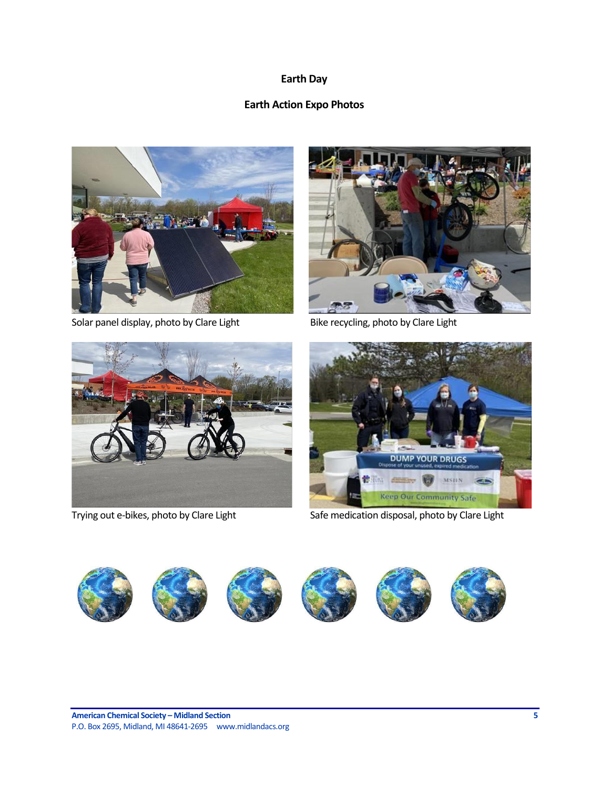# **Earth Day**

# **Earth Action Expo Photos**



Solar panel display, photo by Clare Light Bike recycling, photo by Clare Light







Trying out e-bikes, photo by Clare Light Safe medication disposal, photo by Clare Light

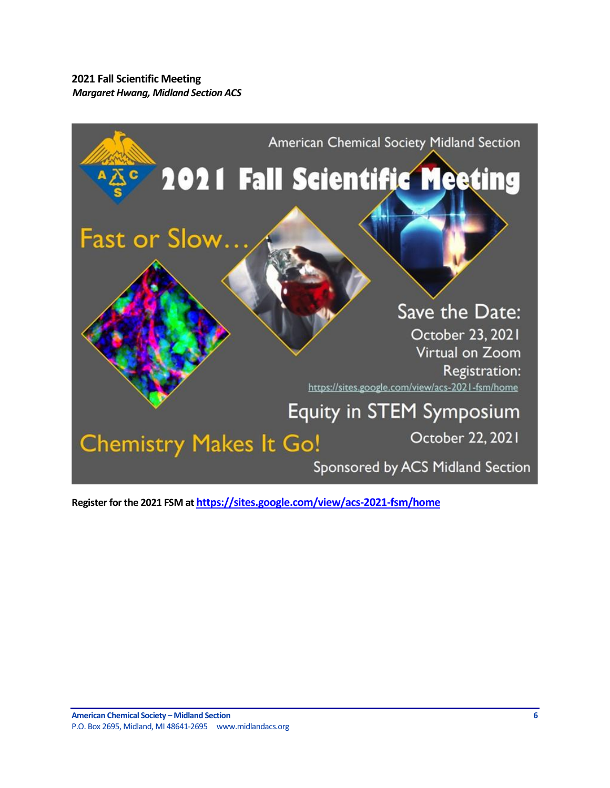<span id="page-5-0"></span>**2021 Fall Scientific Meeting** *Margaret Hwang, Midland Section ACS*



**Register for the 2021 FSM at <https://sites.google.com/view/acs-2021-fsm/home>**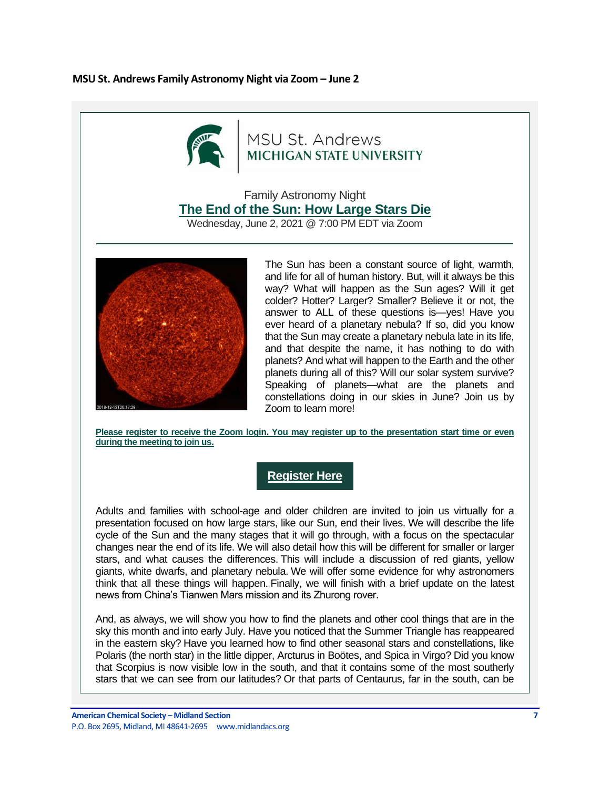### <span id="page-6-0"></span>**MSU St. Andrews Family Astronomy Night via Zoom – June 2**



# MSU St. Andrews MICHIGAN STATE UNIVERSITY

Family Astronomy Night **[The End of the Sun: How Large Stars Die](https://nam04.safelinks.protection.outlook.com/?url=https%3A%2F%2Fr20.rs6.net%2Ftn.jsp%3Ff%3D001X9CaDTczVeJ-lEK4nOefw2p6UPj70Sws8oykCflpEhBGZMm-iin_nMZkXxR5HnKwk2v2jF-frRMq30Q-FLD0GwQk2t8cwyK5tlu1m4LAeSlsc54VNPzKfzldWMvifNViExdWLv-MITSG0FWydhdKlRsHgy8TRUfDnbbxqdXLGBxBZRafHWXQVzPyA8HSi_lPpWQhF26dc-ZEzFm6CN-xq1YIUje3C5g2Alw1pWRCYSIL1djGgU4hY-d1q0zc3w1I%26c%3DvmMaqmntpYYHJ7Rsfj55HE3c1jFz58ustxSHOi5tXL4-45Xj_IQNsQ%3D%3D%26ch%3DFoCj1bZL1IZ6I79qfIg7cqstVCWGGUrprv13F923591qW5EdptQjPw%3D%3D&data=04%7C01%7Cvllanger%40dow.com%7Cda992c9fa405454f33f208d9210f9a55%7Cc3e32f53cb7f4809968d1cc4ccc785fe%7C0%7C0%7C637577173167015980%7CUnknown%7CTWFpbGZsb3d8eyJWIjoiMC4wLjAwMDAiLCJQIjoiV2luMzIiLCJBTiI6Ik1haWwiLCJXVCI6Mn0%3D%7C1000&sdata=0JcmRvoPDB8budlJYhMAnZS6DMk74hTcSCu%2BfGQagio%3D&reserved=0)**

Wednesday, June 2, 2021 @ 7:00 PM EDT via Zoom



The Sun has been a constant source of light, warmth, and life for all of human history. But, will it always be this way? What will happen as the Sun ages? Will it get colder? Hotter? Larger? Smaller? Believe it or not, the answer to ALL of these questions is—yes! Have you ever heard of a planetary nebula? If so, did you know that the Sun may create a planetary nebula late in its life, and that despite the name, it has nothing to do with planets? And what will happen to the Earth and the other planets during all of this? Will our solar system survive? Speaking of planets—what are the planets and constellations doing in our skies in June? Join us by Zoom to learn more!

Please register to receive the Zoom login. You may register up to the presentation start time or even **[during the meeting to join us.](https://nam04.safelinks.protection.outlook.com/?url=https%3A%2F%2Fr20.rs6.net%2Ftn.jsp%3Ff%3D001X9CaDTczVeJ-lEK4nOefw2p6UPj70Sws8oykCflpEhBGZMm-iin_nMZkXxR5HnKwybqvuacJJksAqMLpu73EAcjbGH7-czoDGJQ7d9eX-AdGNnHo1ws07Ru1HZJ76MOZ40SASJm2zoTv-S2oWgLiRIrkB50iMaoAE7Hk0mn5ss9BN9kVAFxYhHbR_gbP2ytaKa7t8FgFL5o%3D%26c%3DvmMaqmntpYYHJ7Rsfj55HE3c1jFz58ustxSHOi5tXL4-45Xj_IQNsQ%3D%3D%26ch%3DFoCj1bZL1IZ6I79qfIg7cqstVCWGGUrprv13F923591qW5EdptQjPw%3D%3D&data=04%7C01%7Cvllanger%40dow.com%7Cda992c9fa405454f33f208d9210f9a55%7Cc3e32f53cb7f4809968d1cc4ccc785fe%7C0%7C0%7C637577173167035978%7CUnknown%7CTWFpbGZsb3d8eyJWIjoiMC4wLjAwMDAiLCJQIjoiV2luMzIiLCJBTiI6Ik1haWwiLCJXVCI6Mn0%3D%7C1000&sdata=PmVdqmB3WzB9Y7Nr1Q%2Fi0AOLb%2Fm7KU7os%2BF6a37bmYk%3D&reserved=0)**

# **[Register Here](https://nam04.safelinks.protection.outlook.com/?url=https%3A%2F%2Fr20.rs6.net%2Ftn.jsp%3Ff%3D001X9CaDTczVeJ-lEK4nOefw2p6UPj70Sws8oykCflpEhBGZMm-iin_nMZkXxR5HnKwybqvuacJJksAqMLpu73EAcjbGH7-czoDGJQ7d9eX-AdGNnHo1ws07Ru1HZJ76MOZ40SASJm2zoTv-S2oWgLiRIrkB50iMaoAE7Hk0mn5ss9BN9kVAFxYhHbR_gbP2ytaKa7t8FgFL5o%3D%26c%3DvmMaqmntpYYHJ7Rsfj55HE3c1jFz58ustxSHOi5tXL4-45Xj_IQNsQ%3D%3D%26ch%3DFoCj1bZL1IZ6I79qfIg7cqstVCWGGUrprv13F923591qW5EdptQjPw%3D%3D&data=04%7C01%7Cvllanger%40dow.com%7Cda992c9fa405454f33f208d9210f9a55%7Cc3e32f53cb7f4809968d1cc4ccc785fe%7C0%7C0%7C637577173167035978%7CUnknown%7CTWFpbGZsb3d8eyJWIjoiMC4wLjAwMDAiLCJQIjoiV2luMzIiLCJBTiI6Ik1haWwiLCJXVCI6Mn0%3D%7C1000&sdata=PmVdqmB3WzB9Y7Nr1Q%2Fi0AOLb%2Fm7KU7os%2BF6a37bmYk%3D&reserved=0)**

Adults and families with school-age and older children are invited to join us virtually for a presentation focused on how large stars, like our Sun, end their lives. We will describe the life cycle of the Sun and the many stages that it will go through, with a focus on the spectacular changes near the end of its life. We will also detail how this will be different for smaller or larger stars, and what causes the differences. This will include a discussion of red giants, yellow giants, white dwarfs, and planetary nebula. We will offer some evidence for why astronomers think that all these things will happen. Finally, we will finish with a brief update on the latest news from China's Tianwen Mars mission and its Zhurong rover.

And, as always, we will show you how to find the planets and other cool things that are in the sky this month and into early July. Have you noticed that the Summer Triangle has reappeared in the eastern sky? Have you learned how to find other seasonal stars and constellations, like Polaris (the north star) in the little dipper, Arcturus in Boötes, and Spica in Virgo? Did you know that Scorpius is now visible low in the south, and that it contains some of the most southerly stars that we can see from our latitudes? Or that parts of Centaurus, far in the south, can be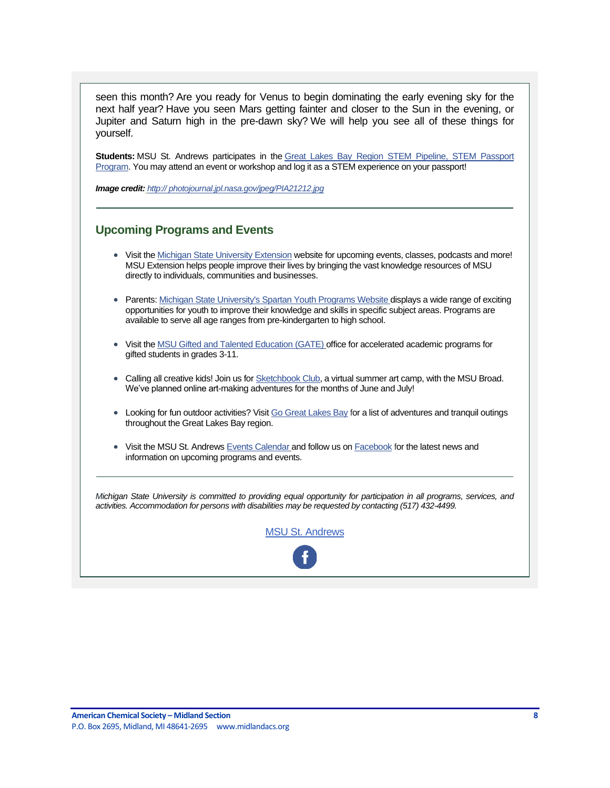seen this month? Are you ready for Venus to begin dominating the early evening sky for the next half year? Have you seen Mars getting fainter and closer to the Sun in the evening, or Jupiter and Saturn high in the pre-dawn sky? We will help you see all of these things for yourself.

**Students:** MSU St. Andrews participates in the [Great Lakes Bay Region STEM Pipeline, STEM Passport](https://nam04.safelinks.protection.outlook.com/?url=https%3A%2F%2Fr20.rs6.net%2Ftn.jsp%3Ff%3D001X9CaDTczVeJ-lEK4nOefw2p6UPj70Sws8oykCflpEhBGZMm-iin_nP0OE54ZtUvekOb3BweGHp2poO3ceLfnXi_wnFhWREb9ZIl1wAQX6UQtD7vX3Mfp8MhSdbjNazrVS_s_Fe3oUxYWyiv7X16ARjDNMuhyAVhveSVqn9XIK4_rJUebST5hA7Lp8TKlXDGaTM-ccodOGj7-Vlo-wtk51A%3D%3D%26c%3DvmMaqmntpYYHJ7Rsfj55HE3c1jFz58ustxSHOi5tXL4-45Xj_IQNsQ%3D%3D%26ch%3DFoCj1bZL1IZ6I79qfIg7cqstVCWGGUrprv13F923591qW5EdptQjPw%3D%3D&data=04%7C01%7Cvllanger%40dow.com%7Cda992c9fa405454f33f208d9210f9a55%7Cc3e32f53cb7f4809968d1cc4ccc785fe%7C0%7C0%7C637577173167045976%7CUnknown%7CTWFpbGZsb3d8eyJWIjoiMC4wLjAwMDAiLCJQIjoiV2luMzIiLCJBTiI6Ik1haWwiLCJXVCI6Mn0%3D%7C1000&sdata=8BWuhAixLgHXVB6WHT6BPl6tpmO5kcROGSSTyocdGKo%3D&reserved=0)  [Program.](https://nam04.safelinks.protection.outlook.com/?url=https%3A%2F%2Fr20.rs6.net%2Ftn.jsp%3Ff%3D001X9CaDTczVeJ-lEK4nOefw2p6UPj70Sws8oykCflpEhBGZMm-iin_nP0OE54ZtUvekOb3BweGHp2poO3ceLfnXi_wnFhWREb9ZIl1wAQX6UQtD7vX3Mfp8MhSdbjNazrVS_s_Fe3oUxYWyiv7X16ARjDNMuhyAVhveSVqn9XIK4_rJUebST5hA7Lp8TKlXDGaTM-ccodOGj7-Vlo-wtk51A%3D%3D%26c%3DvmMaqmntpYYHJ7Rsfj55HE3c1jFz58ustxSHOi5tXL4-45Xj_IQNsQ%3D%3D%26ch%3DFoCj1bZL1IZ6I79qfIg7cqstVCWGGUrprv13F923591qW5EdptQjPw%3D%3D&data=04%7C01%7Cvllanger%40dow.com%7Cda992c9fa405454f33f208d9210f9a55%7Cc3e32f53cb7f4809968d1cc4ccc785fe%7C0%7C0%7C637577173167045976%7CUnknown%7CTWFpbGZsb3d8eyJWIjoiMC4wLjAwMDAiLCJQIjoiV2luMzIiLCJBTiI6Ik1haWwiLCJXVCI6Mn0%3D%7C1000&sdata=8BWuhAixLgHXVB6WHT6BPl6tpmO5kcROGSSTyocdGKo%3D&reserved=0) You may attend an event or workshop and log it as a STEM experience on your passport!

*Image credi[t:](https://nam04.safelinks.protection.outlook.com/?url=https%3A%2F%2Fr20.rs6.net%2Ftn.jsp%3Ff%3D001X9CaDTczVeJ-lEK4nOefw2p6UPj70Sws8oykCflpEhBGZMm-iin_nMZkXxR5HnKwp69F2_-uHM5cN-v0mTFRZ2tOaP_SIM3cNqQZDeI9NpDMgTKDfZOQAair5Dv_D0onGiw6Dp72D38b9SZG_8G-hG08IeQ9n-snvJdvIx29PVk96Bs6BSRRmg%3D%3D%26c%3DvmMaqmntpYYHJ7Rsfj55HE3c1jFz58ustxSHOi5tXL4-45Xj_IQNsQ%3D%3D%26ch%3DFoCj1bZL1IZ6I79qfIg7cqstVCWGGUrprv13F923591qW5EdptQjPw%3D%3D&data=04%7C01%7Cvllanger%40dow.com%7Cda992c9fa405454f33f208d9210f9a55%7Cc3e32f53cb7f4809968d1cc4ccc785fe%7C0%7C0%7C637577173167055969%7CUnknown%7CTWFpbGZsb3d8eyJWIjoiMC4wLjAwMDAiLCJQIjoiV2luMzIiLCJBTiI6Ik1haWwiLCJXVCI6Mn0%3D%7C1000&sdata=uEAD1uR65mKr7Hq5zoSd0s1r0IhiPC%2BNSjN7VffIKSc%3D&reserved=0) [http:// photojournal.jpl.nasa.gov/jpeg/PIA21212.jpg](https://nam04.safelinks.protection.outlook.com/?url=https%3A%2F%2Fr20.rs6.net%2Ftn.jsp%3Ff%3D001X9CaDTczVeJ-lEK4nOefw2p6UPj70Sws8oykCflpEhBGZMm-iin_nMZkXxR5HnKwp69F2_-uHM5cN-v0mTFRZ2tOaP_SIM3cNqQZDeI9NpDMgTKDfZOQAair5Dv_D0onGiw6Dp72D38b9SZG_8G-hG08IeQ9n-snvJdvIx29PVk96Bs6BSRRmg%3D%3D%26c%3DvmMaqmntpYYHJ7Rsfj55HE3c1jFz58ustxSHOi5tXL4-45Xj_IQNsQ%3D%3D%26ch%3DFoCj1bZL1IZ6I79qfIg7cqstVCWGGUrprv13F923591qW5EdptQjPw%3D%3D&data=04%7C01%7Cvllanger%40dow.com%7Cda992c9fa405454f33f208d9210f9a55%7Cc3e32f53cb7f4809968d1cc4ccc785fe%7C0%7C0%7C637577173167055969%7CUnknown%7CTWFpbGZsb3d8eyJWIjoiMC4wLjAwMDAiLCJQIjoiV2luMzIiLCJBTiI6Ik1haWwiLCJXVCI6Mn0%3D%7C1000&sdata=uEAD1uR65mKr7Hq5zoSd0s1r0IhiPC%2BNSjN7VffIKSc%3D&reserved=0)*

# **Upcoming Programs and Events**

- Visit the [Michigan State University Extension](https://nam04.safelinks.protection.outlook.com/?url=https%3A%2F%2Fr20.rs6.net%2Ftn.jsp%3Ff%3D001X9CaDTczVeJ-lEK4nOefw2p6UPj70Sws8oykCflpEhBGZMm-iin_nD3tuH-BK-A-LKc2dLcLHudzE7fFUNErxbX-TnzBwsuOoUEriVZ5Y9Xl3H0pMHotCuX_h4uXcIQEDE2j5yHgAgODB8CiwltPyAY2-SlsW_-a%26c%3DvmMaqmntpYYHJ7Rsfj55HE3c1jFz58ustxSHOi5tXL4-45Xj_IQNsQ%3D%3D%26ch%3DFoCj1bZL1IZ6I79qfIg7cqstVCWGGUrprv13F923591qW5EdptQjPw%3D%3D&data=04%7C01%7Cvllanger%40dow.com%7Cda992c9fa405454f33f208d9210f9a55%7Cc3e32f53cb7f4809968d1cc4ccc785fe%7C0%7C0%7C637577173167065968%7CUnknown%7CTWFpbGZsb3d8eyJWIjoiMC4wLjAwMDAiLCJQIjoiV2luMzIiLCJBTiI6Ik1haWwiLCJXVCI6Mn0%3D%7C1000&sdata=fcgAPimxIhRPnmy4FN9oq%2BM0FTpLO8Ckhwe9143sm7A%3D&reserved=0) website for upcoming events, classes, podcasts and more! MSU Extension helps people improve their lives by bringing the vast knowledge resources of MSU directly to individuals, communities and businesses.
- Parents: [Michigan State University's Spartan Youth Programs Website d](https://nam04.safelinks.protection.outlook.com/?url=https%3A%2F%2Fr20.rs6.net%2Ftn.jsp%3Ff%3D001X9CaDTczVeJ-lEK4nOefw2p6UPj70Sws8oykCflpEhBGZMm-iin_nI64BgFNmZsz2mX4OoLhto4ZzsCaF6IWqVLgE_XmjKGwZgTT3QhZOcl3AzqaX9NuwyZRI1POHt4pLRNQRu3AhVs7MPCLkEXQ6A%3D%3D%26c%3DvmMaqmntpYYHJ7Rsfj55HE3c1jFz58ustxSHOi5tXL4-45Xj_IQNsQ%3D%3D%26ch%3DFoCj1bZL1IZ6I79qfIg7cqstVCWGGUrprv13F923591qW5EdptQjPw%3D%3D&data=04%7C01%7Cvllanger%40dow.com%7Cda992c9fa405454f33f208d9210f9a55%7Cc3e32f53cb7f4809968d1cc4ccc785fe%7C0%7C0%7C637577173167075962%7CUnknown%7CTWFpbGZsb3d8eyJWIjoiMC4wLjAwMDAiLCJQIjoiV2luMzIiLCJBTiI6Ik1haWwiLCJXVCI6Mn0%3D%7C1000&sdata=UsoNVymjfUXo6hsQFOUbzk6EMITBOhfSHtKd68gx%2BMY%3D&reserved=0)isplays a wide range of exciting opportunities for youth to improve their knowledge and skills in specific subject areas. Programs are available to serve all age ranges from pre-kindergarten to high school.
- Visit th[e MSU Gifted and Talented Education \(GATE\)](https://nam04.safelinks.protection.outlook.com/?url=https%3A%2F%2Fr20.rs6.net%2Ftn.jsp%3Ff%3D001X9CaDTczVeJ-lEK4nOefw2p6UPj70Sws8oykCflpEhBGZMm-iin_nF6cAXeK0ApeeiWjENz00xzfHkAa9ecuuPW8qTLqs847K977eZ3Km4E9wJOCbmAwmhXROjhGR6LegyhMkrdim-6aWf267vP_Ug%3D%3D%26c%3DvmMaqmntpYYHJ7Rsfj55HE3c1jFz58ustxSHOi5tXL4-45Xj_IQNsQ%3D%3D%26ch%3DFoCj1bZL1IZ6I79qfIg7cqstVCWGGUrprv13F923591qW5EdptQjPw%3D%3D&data=04%7C01%7Cvllanger%40dow.com%7Cda992c9fa405454f33f208d9210f9a55%7Cc3e32f53cb7f4809968d1cc4ccc785fe%7C0%7C0%7C637577173167075962%7CUnknown%7CTWFpbGZsb3d8eyJWIjoiMC4wLjAwMDAiLCJQIjoiV2luMzIiLCJBTiI6Ik1haWwiLCJXVCI6Mn0%3D%7C1000&sdata=X%2Fs2VyPjHhneIeny6YTAX%2FcpFLX25HjRt6m4eMnl5F0%3D&reserved=0) [o](https://nam04.safelinks.protection.outlook.com/?url=https%3A%2F%2Fr20.rs6.net%2Ftn.jsp%3Ff%3D001X9CaDTczVeJ-lEK4nOefw2p6UPj70Sws8oykCflpEhBGZMm-iin_nF6cAXeK0ApeeiWjENz00xzfHkAa9ecuuPW8qTLqs847K977eZ3Km4E9wJOCbmAwmhXROjhGR6LegyhMkrdim-6aWf267vP_Ug%3D%3D%26c%3DvmMaqmntpYYHJ7Rsfj55HE3c1jFz58ustxSHOi5tXL4-45Xj_IQNsQ%3D%3D%26ch%3DFoCj1bZL1IZ6I79qfIg7cqstVCWGGUrprv13F923591qW5EdptQjPw%3D%3D&data=04%7C01%7Cvllanger%40dow.com%7Cda992c9fa405454f33f208d9210f9a55%7Cc3e32f53cb7f4809968d1cc4ccc785fe%7C0%7C0%7C637577173167085958%7CUnknown%7CTWFpbGZsb3d8eyJWIjoiMC4wLjAwMDAiLCJQIjoiV2luMzIiLCJBTiI6Ik1haWwiLCJXVCI6Mn0%3D%7C1000&sdata=LPteAXYU3%2F7Od0JCkuECN6ZTYom5BxgC%2FX91p0dHtzM%3D&reserved=0)ffice for accelerated academic programs for gifted students in grades 3-11.
- Calling all creative kids! Join us for [Sketchbook Club,](https://nam04.safelinks.protection.outlook.com/?url=https%3A%2F%2Fr20.rs6.net%2Ftn.jsp%3Ff%3D001X9CaDTczVeJ-lEK4nOefw2p6UPj70Sws8oykCflpEhBGZMm-iin_nFR8lGf0ubnwd69J0OA5_jw_JH3e64LvEaksxYJPWNKg40LiPOKq6aCuFbPTBoOzvbGljmpDqb3EEtq4CnIGtTK-xcAxphk3CftXKw5xsMbHEu6Fj6wCzT2hywy3wJZSf9xtZlcbsdk6AI52BcOOHbny3wMr3R_TVgC411zikOKPM7-akQ0s6qd6VG5ZWmma5Kf0xM6cjIOkvdP3tKfxNkYnhhDwzQAhNz44Rj87Rc0KWq8GudX2S0NGBN5KKT7nN4_MSRW3nCqMUeFcIKmxctwwxgvM0zEivVz-jED4tnk00C4KH5Oi9-9oApExD5NxBA%3D%3D%26c%3DvmMaqmntpYYHJ7Rsfj55HE3c1jFz58ustxSHOi5tXL4-45Xj_IQNsQ%3D%3D%26ch%3DFoCj1bZL1IZ6I79qfIg7cqstVCWGGUrprv13F923591qW5EdptQjPw%3D%3D&data=04%7C01%7Cvllanger%40dow.com%7Cda992c9fa405454f33f208d9210f9a55%7Cc3e32f53cb7f4809968d1cc4ccc785fe%7C0%7C0%7C637577173167095952%7CUnknown%7CTWFpbGZsb3d8eyJWIjoiMC4wLjAwMDAiLCJQIjoiV2luMzIiLCJBTiI6Ik1haWwiLCJXVCI6Mn0%3D%7C1000&sdata=Ui%2BITi1kMHLXo8VDiLzBaYAIYAaTpuQBNOMC77p3z9g%3D&reserved=0) a virtual summer art camp, with the MSU Broad. We've planned online art-making adventures for the months of June and July!
- Looking for fun outdoor activities? Visit [Go Great Lakes Bay](https://nam04.safelinks.protection.outlook.com/?url=https%3A%2F%2Fr20.rs6.net%2Ftn.jsp%3Ff%3D001X9CaDTczVeJ-lEK4nOefw2p6UPj70Sws8oykCflpEhBGZMm-iin_nHz4Ba6vEH_NQyPZ5u1sAPfwrAKZ3LlngBxC8cd8H59iGeicHOgQe3f2qVv8idPR9nHC-NALmijirzi9hYdBb8xd4JDmz4MKmBv8dTn8aTwIMNqZufF8xA6nIrjoiqPCYA%3D%3D%26c%3DvmMaqmntpYYHJ7Rsfj55HE3c1jFz58ustxSHOi5tXL4-45Xj_IQNsQ%3D%3D%26ch%3DFoCj1bZL1IZ6I79qfIg7cqstVCWGGUrprv13F923591qW5EdptQjPw%3D%3D&data=04%7C01%7Cvllanger%40dow.com%7Cda992c9fa405454f33f208d9210f9a55%7Cc3e32f53cb7f4809968d1cc4ccc785fe%7C0%7C0%7C637577173167095952%7CUnknown%7CTWFpbGZsb3d8eyJWIjoiMC4wLjAwMDAiLCJQIjoiV2luMzIiLCJBTiI6Ik1haWwiLCJXVCI6Mn0%3D%7C1000&sdata=ENWEJcgAOCvagKYntlZ8zVdiZCo7cleQfUwWAIhlVtQ%3D&reserved=0) for a list of adventures and tranquil outings throughout the Great Lakes Bay region.
- Visit the MSU St. Andrews [Events Calendar](https://nam04.safelinks.protection.outlook.com/?url=https%3A%2F%2Fr20.rs6.net%2Ftn.jsp%3Ff%3D001X9CaDTczVeJ-lEK4nOefw2p6UPj70Sws8oykCflpEhBGZMm-iin_nGGgoekCYA2H5PNg9qOnrn_bSI0enrMBKCZ3zWNFahSFALkraIQZnq-EXhbm0Pl_PTAC0oizlnWm-4DpIPtmObskEwX4FaiUKykNHDF_x827PX8_qyAF55I%3D%26c%3DvmMaqmntpYYHJ7Rsfj55HE3c1jFz58ustxSHOi5tXL4-45Xj_IQNsQ%3D%3D%26ch%3DFoCj1bZL1IZ6I79qfIg7cqstVCWGGUrprv13F923591qW5EdptQjPw%3D%3D&data=04%7C01%7Cvllanger%40dow.com%7Cda992c9fa405454f33f208d9210f9a55%7Cc3e32f53cb7f4809968d1cc4ccc785fe%7C0%7C0%7C637577173167105949%7CUnknown%7CTWFpbGZsb3d8eyJWIjoiMC4wLjAwMDAiLCJQIjoiV2luMzIiLCJBTiI6Ik1haWwiLCJXVCI6Mn0%3D%7C1000&sdata=skxO4rlhznpaSH%2FiGn%2BU1i4ZJBUL4jEG%2BvShlavTAIM%3D&reserved=0) and follow us on [Facebook](https://nam04.safelinks.protection.outlook.com/?url=https%3A%2F%2Fr20.rs6.net%2Ftn.jsp%3Ff%3D001X9CaDTczVeJ-lEK4nOefw2p6UPj70Sws8oykCflpEhBGZMm-iin_nKSXHuS60yExgo2PwQMYqRFPpZRm64POnI4uoXI2vvQZ--LL9dqaouHsBA5-3DPID5LD4mIuK4_pnEIpKRLcnG-18E_w5RF1l0rpUcaeZf9L%26c%3DvmMaqmntpYYHJ7Rsfj55HE3c1jFz58ustxSHOi5tXL4-45Xj_IQNsQ%3D%3D%26ch%3DFoCj1bZL1IZ6I79qfIg7cqstVCWGGUrprv13F923591qW5EdptQjPw%3D%3D&data=04%7C01%7Cvllanger%40dow.com%7Cda992c9fa405454f33f208d9210f9a55%7Cc3e32f53cb7f4809968d1cc4ccc785fe%7C0%7C0%7C637577173167115944%7CUnknown%7CTWFpbGZsb3d8eyJWIjoiMC4wLjAwMDAiLCJQIjoiV2luMzIiLCJBTiI6Ik1haWwiLCJXVCI6Mn0%3D%7C1000&sdata=6swCaYrxoSfvqxmVNus4QyaVee8HGnzENUJB7t2tyxw%3D&reserved=0) for the latest news and information on upcoming programs and events.

*Michigan State University is committed to providing equal opportunity for participation in all programs, services, and activities. Accommodation for persons with disabilities may be requested by contacting (517) 432-4499.* 

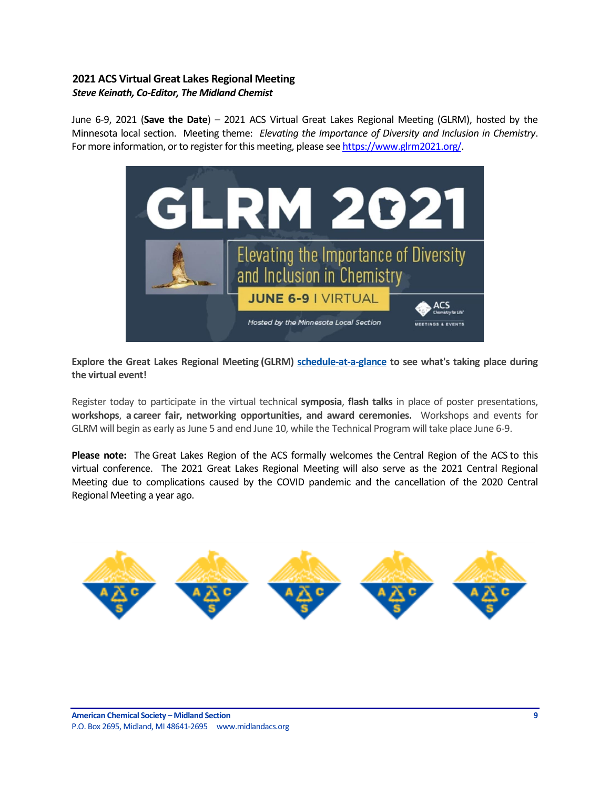### <span id="page-8-0"></span>**2021 ACS Virtual Great Lakes Regional Meeting** *Steve Keinath, Co-Editor, The Midland Chemist*

June 6-9, 2021 (**Save the Date**) – 2021 ACS Virtual Great Lakes Regional Meeting (GLRM), hosted by the Minnesota local section. Meeting theme: *Elevating the Importance of Diversity and Inclusion in Chemistry*. For more information, or to register for this meeting, please se[e https://www.glrm2021.org/.](https://www.glrm2021.org/)



**Explore the Great Lakes Regional Meeting (GLRM) [schedule-at-a-glance](http://app.connect.discoveracs.org/e/er?s=341921710&lid=9890&elqTrackId=E65EB73721D618583E6E52D840C75143&elq=4b7f1203d41a4825a01a4ac8d4922b2d&elqaid=3361&elqat=1) to see what's taking place during the virtual event!**

Register today to participate in the virtual technical **symposia**, **flash talks** in place of poster presentations, **workshops**, **a career fair, networking opportunities, and award ceremonies.** Workshops and events for GLRM will begin as early as June 5 and end June 10, while the Technical Program will take place June 6-9.

**Please note:** The Great Lakes Region of the ACS formally welcomes the Central Region of the ACS to this virtual conference. The 2021 Great Lakes Regional Meeting will also serve as the 2021 Central Regional Meeting due to complications caused by the COVID pandemic and the cancellation of the 2020 Central Regional Meeting a year ago.

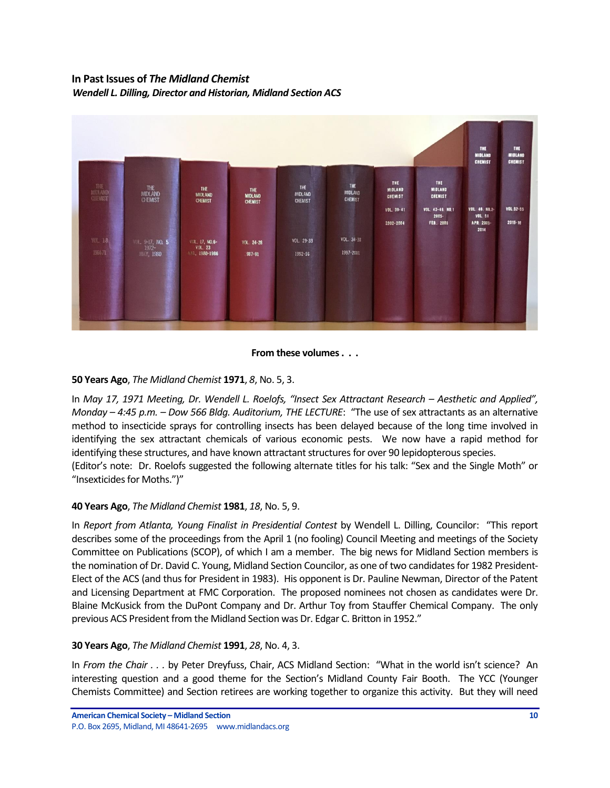# <span id="page-9-0"></span>**In Past Issues of** *The Midland Chemist Wendell L. Dilling, Director and Historian, Midland Section ACS*



### **From these volumes . . .**

### **50 Years Ago**, *The Midland Chemist* **1971**, *8*, No. 5, 3.

In *May 17, 1971 Meeting, Dr. Wendell L. Roelofs, "Insect Sex Attractant Research – Aesthetic and Applied", Monday – 4:45 p.m. – Dow 566 Bldg. Auditorium, THE LECTURE*: "The use of sex attractants as an alternative method to insecticide sprays for controlling insects has been delayed because of the long time involved in identifying the sex attractant chemicals of various economic pests. We now have a rapid method for identifying these structures, and have known attractant structures for over 90 lepidopterous species.

(Editor's note: Dr. Roelofs suggested the following alternate titles for his talk: "Sex and the Single Moth" or "Insexticides for Moths.")"

### **40 Years Ago**, *The Midland Chemist* **1981**, *18*, No. 5, 9.

In *Report from Atlanta, Young Finalist in Presidential Contest* by Wendell L. Dilling, Councilor: "This report describes some of the proceedings from the April 1 (no fooling) Council Meeting and meetings of the Society Committee on Publications (SCOP), of which I am a member. The big news for Midland Section members is the nomination of Dr. David C. Young, Midland Section Councilor, as one of two candidates for 1982 President-Elect of the ACS (and thus for President in 1983). His opponent is Dr. Pauline Newman, Director of the Patent and Licensing Department at FMC Corporation. The proposed nominees not chosen as candidates were Dr. Blaine McKusick from the DuPont Company and Dr. Arthur Toy from Stauffer Chemical Company. The only previous ACS President from the Midland Section was Dr. Edgar C. Britton in 1952."

### **30 Years Ago**, *The Midland Chemist* **1991**, *28*, No. 4, 3.

In *From the Chair . . .* by Peter Dreyfuss, Chair, ACS Midland Section: "What in the world isn't science? An interesting question and a good theme for the Section's Midland County Fair Booth. The YCC (Younger Chemists Committee) and Section retirees are working together to organize this activity. But they will need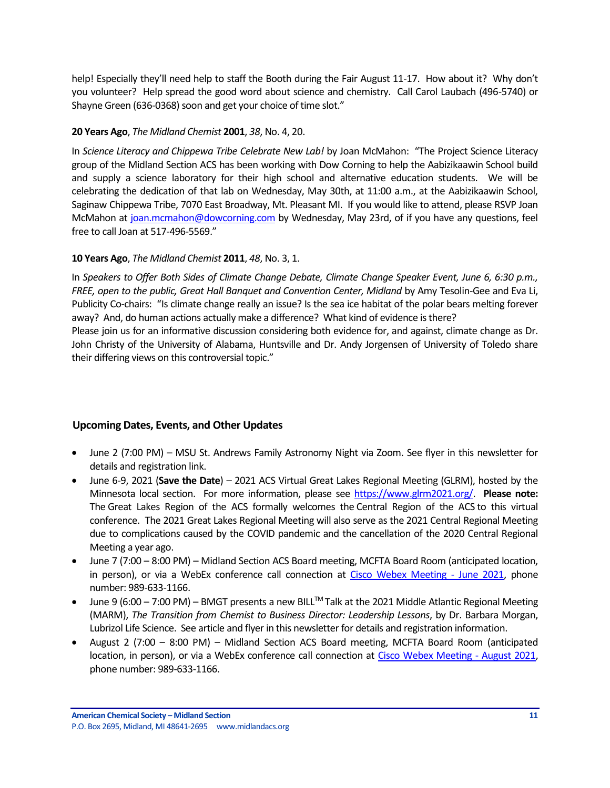help! Especially they'll need help to staff the Booth during the Fair August 11-17. How about it? Why don't you volunteer? Help spread the good word about science and chemistry. Call Carol Laubach (496-5740) or Shayne Green (636-0368) soon and get your choice of time slot."

### **20 Years Ago**, *The Midland Chemist* **2001**, *38*, No. 4, 20.

In *Science Literacy and Chippewa Tribe Celebrate New Lab!* by Joan McMahon: "The Project Science Literacy group of the Midland Section ACS has been working with Dow Corning to help the Aabizikaawin School build and supply a science laboratory for their high school and alternative education students. We will be celebrating the dedication of that lab on Wednesday, May 30th, at 11:00 a.m., at the Aabizikaawin School, Saginaw Chippewa Tribe, 7070 East Broadway, Mt. Pleasant MI. If you would like to attend, please RSVP Joan McMahon at [joan.mcmahon@dowcorning.com](mailto:joan.mcmahon@dowcorning.com) by Wednesday, May 23rd, of if you have any questions, feel free to call Joan at 517-496-5569."

### **10 Years Ago**, *The Midland Chemist* **2011**, *48*, No. 3, 1.

In *Speakers to Offer Both Sides of Climate Change Debate, Climate Change Speaker Event, June 6, 6:30 p.m., FREE, open to the public, Great Hall Banquet and Convention Center, Midland* by Amy Tesolin-Gee and Eva Li, Publicity Co-chairs: "Is climate change really an issue? Is the sea ice habitat of the polar bears melting forever away? And, do human actions actually make a difference? What kind of evidence is there? Please join us for an informative discussion considering both evidence for, and against, climate change as Dr. John Christy of the University of Alabama, Huntsville and Dr. Andy Jorgensen of University of Toledo share their differing views on this controversial topic."

### <span id="page-10-0"></span>**Upcoming Dates, Events, and Other Updates**

- June 2 (7:00 PM) MSU St. Andrews Family Astronomy Night via Zoom. See flyer in this newsletter for details and registration link.
- June 6-9, 2021 (**Save the Date**) 2021 ACS Virtual Great Lakes Regional Meeting (GLRM), hosted by the Minnesota local section. For more information, please see [https://www.glrm2021.org/.](https://www.glrm2021.org/) **Please note:** The Great Lakes Region of the ACS formally welcomes the Central Region of the ACS to this virtual conference. The 2021 Great Lakes Regional Meeting will also serve as the 2021 Central Regional Meeting due to complications caused by the COVID pandemic and the cancellation of the 2020 Central Regional Meeting a year ago.
- June 7 (7:00 8:00 PM) Midland Section ACS Board meeting, MCFTA Board Room (anticipated location, in person), or via a WebEx conference call connection at [Cisco Webex Meeting -](https://laurenmccullough.my.webex.com/webappng/sites/laurenmccullough.my/meeting/download/1fe34d004133d24e0415cae3b860f29e) June 2021, phone number: 989-633-1166.
- June 9 (6:00 7:00 PM) BMGT presents a new BILL<sup>TM</sup> Talk at the 2021 Middle Atlantic Regional Meeting (MARM), *The Transition from Chemist to Business Director: Leadership Lessons*, by Dr. Barbara Morgan, Lubrizol Life Science. See article and flyer in this newsletter for details and registration information.
- August 2 (7:00 8:00 PM) Midland Section ACS Board meeting, MCFTA Board Room (anticipated location, in person), or via a WebEx conference call connection at [Cisco Webex Meeting -](https://laurenmccullough.my.webex.com/webappng/sites/laurenmccullough.my/meeting/download/1fe34d004133d24e0415cae3b860f29e) August 2021, phone number: 989-633-1166.